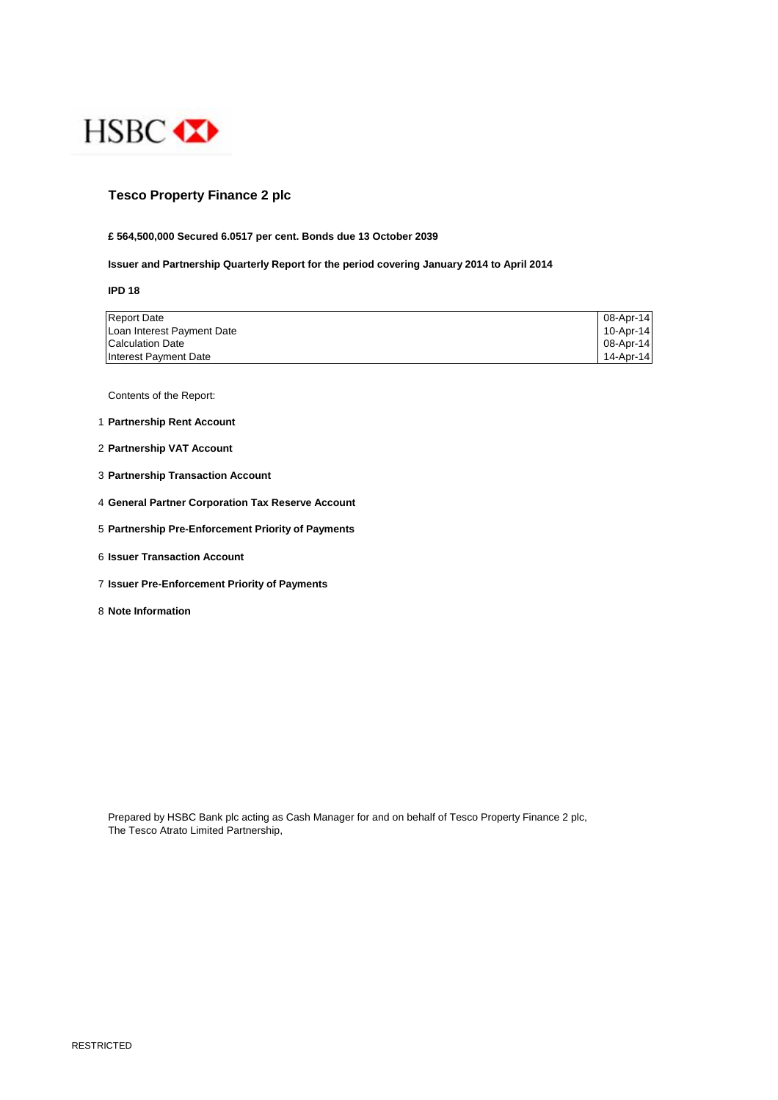

## **Tesco Property Finance 2 plc**

#### **£ 564,500,000 Secured 6.0517 per cent. Bonds due 13 October 2039**

#### **Issuer and Partnership Quarterly Report for the period covering January 2014 to April 2014**

**IPD 18**

| <b>Report Date</b>         | 08-Apr-14 |
|----------------------------|-----------|
| Loan Interest Payment Date | 10-Apr-14 |
| <b>Calculation Date</b>    | 08-Apr-14 |
| Interest Payment Date      | 14-Apr-14 |

Contents of the Report:

- 1 **Partnership Rent Account**
- 2 **Partnership VAT Account**
- 3 **Partnership Transaction Account**
- 4 **General Partner Corporation Tax Reserve Account**
- 5 **Partnership Pre-Enforcement Priority of Payments**
- 6 **Issuer Transaction Account**
- 7 **Issuer Pre-Enforcement Priority of Payments**
- 8 **Note Information**

Prepared by HSBC Bank plc acting as Cash Manager for and on behalf of Tesco Property Finance 2 plc, The Tesco Atrato Limited Partnership,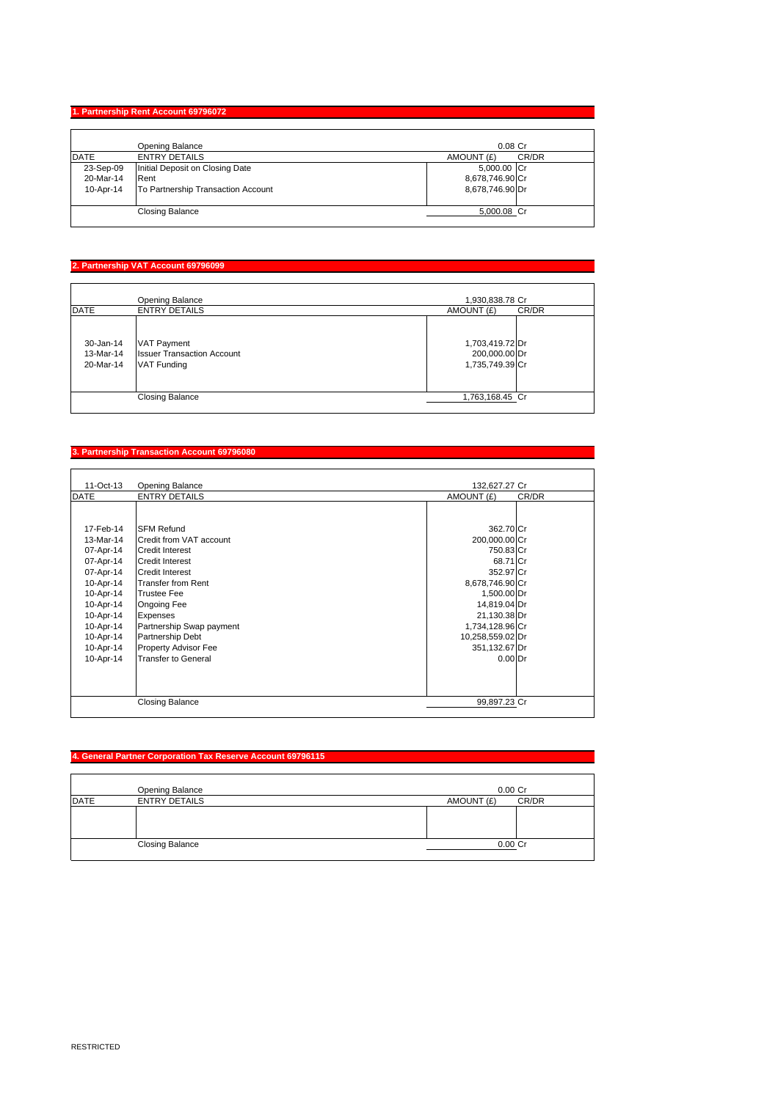## **1. Partnership Rent Account 69796072**

|             | Opening Balance                    | $0.08$ Cr           |
|-------------|------------------------------------|---------------------|
| <b>DATE</b> | <b>ENTRY DETAILS</b>               | CR/DR<br>AMOUNT (£) |
| 23-Sep-09   | Initial Deposit on Closing Date    | 5,000.00 Cr         |
| 20-Mar-14   | Rent                               | 8,678,746.90 Cr     |
| 10-Apr-14   | To Partnership Transaction Account | 8,678,746.90 Dr     |
|             | <b>Closing Balance</b>             | 5,000.08 Cr         |

## **2. Partnership VAT Account 69796099**

|             | Opening Balance                   | 1,930,838.78 Cr     |
|-------------|-----------------------------------|---------------------|
| <b>DATE</b> | <b>ENTRY DETAILS</b>              | AMOUNT (£)<br>CR/DR |
|             |                                   |                     |
| 30-Jan-14   | <b>VAT Payment</b>                | 1,703,419.72 Dr     |
| 13-Mar-14   | <b>Issuer Transaction Account</b> | 200,000.00 Dr       |
| 20-Mar-14   | <b>VAT Funding</b>                | 1,735,749.39 Cr     |
|             |                                   |                     |
|             | <b>Closing Balance</b>            | 1,763,168.45 Cr     |

#### **3. Partnership Transaction Account 69796080**

| 11-Oct-13   | Opening Balance            | 132,627.27 Cr    |       |
|-------------|----------------------------|------------------|-------|
| <b>DATE</b> | <b>ENTRY DETAILS</b>       | AMOUNT (£)       | CR/DR |
|             |                            |                  |       |
| 17-Feb-14   | <b>SFM Refund</b>          | 362.70 Cr        |       |
| 13-Mar-14   | Credit from VAT account    | 200,000.00 Cr    |       |
| 07-Apr-14   | <b>Credit Interest</b>     | 750.83 Cr        |       |
| 07-Apr-14   | <b>Credit Interest</b>     | 68.71 Cr         |       |
| 07-Apr-14   | <b>Credit Interest</b>     | 352.97 Cr        |       |
| 10-Apr-14   | <b>Transfer from Rent</b>  | 8,678,746.90 Cr  |       |
| 10-Apr-14   | <b>Trustee Fee</b>         | 1,500.00 Dr      |       |
| 10-Apr-14   | Ongoing Fee                | 14,819.04 Dr     |       |
| 10-Apr-14   | Expenses                   | 21,130.38 Dr     |       |
| 10-Apr-14   | Partnership Swap payment   | 1,734,128.96 Cr  |       |
| 10-Apr-14   | Partnership Debt           | 10,258,559.02 Dr |       |
| 10-Apr-14   | Property Advisor Fee       | 351,132.67 Dr    |       |
| 10-Apr-14   | <b>Transfer to General</b> | $0.00$ Dr        |       |
|             |                            |                  |       |
|             |                            |                  |       |
|             |                            |                  |       |
|             | <b>Closing Balance</b>     | 99,897.23 Cr     |       |
|             |                            |                  |       |

# **4. General Partner Corporation Tax Reserve Account 69796115**

|      | Opening Balance        | $0.00C$ r           |
|------|------------------------|---------------------|
| DATE | <b>ENTRY DETAILS</b>   | CR/DR<br>AMOUNT (£) |
|      |                        |                     |
|      |                        |                     |
|      |                        |                     |
|      | <b>Closing Balance</b> | 0.00 Cr             |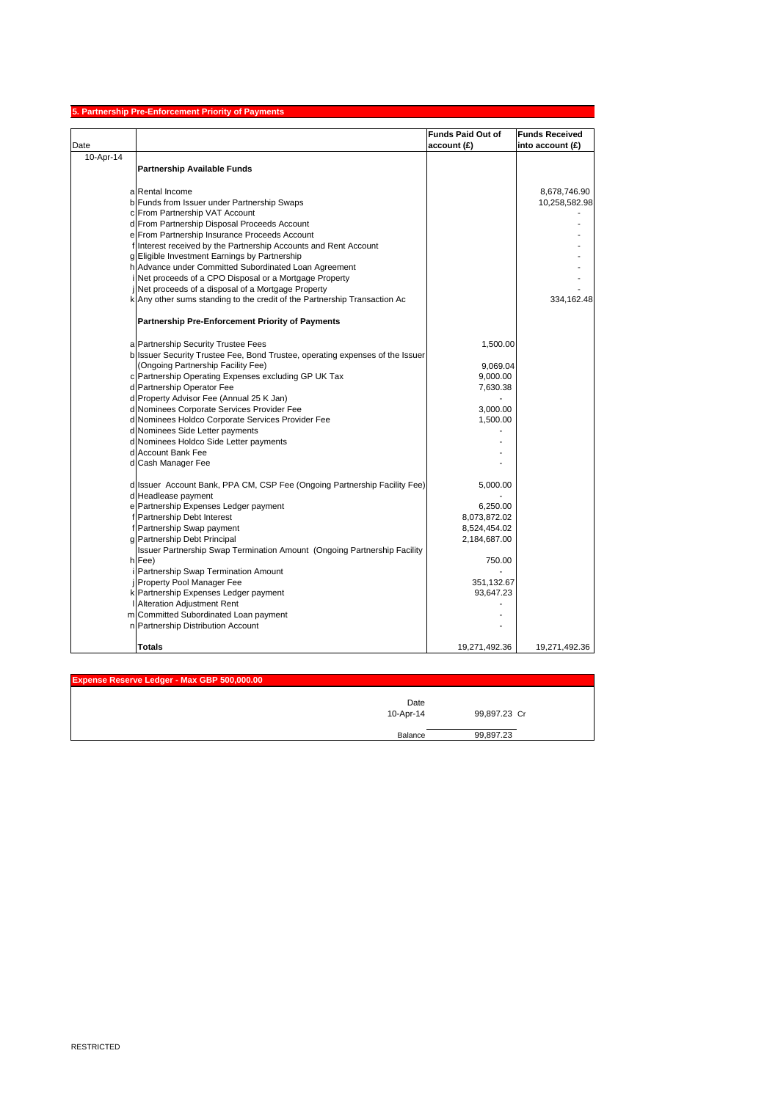|           | 5. Partnership Pre-Enforcement Priority of Payments                           |                          |                       |
|-----------|-------------------------------------------------------------------------------|--------------------------|-----------------------|
|           |                                                                               | <b>Funds Paid Out of</b> | <b>Funds Received</b> |
| Date      |                                                                               | account (£)              | into account (£)      |
| 10-Apr-14 |                                                                               |                          |                       |
|           | <b>Partnership Available Funds</b>                                            |                          |                       |
|           |                                                                               |                          |                       |
|           | a Rental Income                                                               |                          | 8,678,746.90          |
|           | b Funds from Issuer under Partnership Swaps                                   |                          | 10,258,582.98         |
|           | c From Partnership VAT Account                                                |                          |                       |
|           | d From Partnership Disposal Proceeds Account                                  |                          |                       |
|           | e From Partnership Insurance Proceeds Account                                 |                          |                       |
|           | f Interest received by the Partnership Accounts and Rent Account              |                          |                       |
|           | g Eligible Investment Earnings by Partnership                                 |                          |                       |
|           | h Advance under Committed Subordinated Loan Agreement                         |                          |                       |
|           | Net proceeds of a CPO Disposal or a Mortgage Property                         |                          |                       |
|           | Net proceeds of a disposal of a Mortgage Property                             |                          |                       |
|           | k Any other sums standing to the credit of the Partnership Transaction Ac     |                          | 334,162.48            |
|           | <b>Partnership Pre-Enforcement Priority of Payments</b>                       |                          |                       |
|           |                                                                               |                          |                       |
|           | a Partnership Security Trustee Fees                                           | 1,500.00                 |                       |
|           | b Issuer Security Trustee Fee, Bond Trustee, operating expenses of the Issuer |                          |                       |
|           | (Ongoing Partnership Facility Fee)                                            | 9,069.04                 |                       |
|           | c Partnership Operating Expenses excluding GP UK Tax                          | 9,000.00                 |                       |
|           | d Partnership Operator Fee                                                    | 7,630.38                 |                       |
|           | d Property Advisor Fee (Annual 25 K Jan)                                      |                          |                       |
|           | d Nominees Corporate Services Provider Fee                                    | 3,000.00                 |                       |
|           | d Nominees Holdco Corporate Services Provider Fee                             | 1,500.00                 |                       |
|           | d Nominees Side Letter payments                                               |                          |                       |
|           | d Nominees Holdco Side Letter payments                                        |                          |                       |
|           | d Account Bank Fee                                                            |                          |                       |
|           | d Cash Manager Fee                                                            |                          |                       |
|           | d Issuer Account Bank, PPA CM, CSP Fee (Ongoing Partnership Facility Fee)     | 5,000.00                 |                       |
|           | d Headlease payment                                                           |                          |                       |
|           | e Partnership Expenses Ledger payment                                         | 6,250.00                 |                       |
|           | f Partnership Debt Interest                                                   | 8,073,872.02             |                       |
|           | f Partnership Swap payment                                                    | 8,524,454.02             |                       |
|           | g Partnership Debt Principal                                                  | 2,184,687.00             |                       |
|           | Issuer Partnership Swap Termination Amount (Ongoing Partnership Facility      |                          |                       |
|           | h Fee)                                                                        | 750.00                   |                       |
|           | Partnership Swap Termination Amount                                           |                          |                       |
|           | Property Pool Manager Fee                                                     | 351,132.67               |                       |
|           | k Partnership Expenses Ledger payment                                         | 93,647.23                |                       |
|           | I Alteration Adjustment Rent                                                  |                          |                       |
|           | m Committed Subordinated Loan payment                                         |                          |                       |
|           | n Partnership Distribution Account                                            |                          |                       |
|           | <b>Totals</b>                                                                 | 19,271,492.36            | 19,271,492.36         |

| Expense Reserve Ledger - Max GBP 500,000.00 |                   |              |
|---------------------------------------------|-------------------|--------------|
|                                             | Date<br>10-Apr-14 | 99,897.23 Cr |
|                                             | Balance           | 99,897.23    |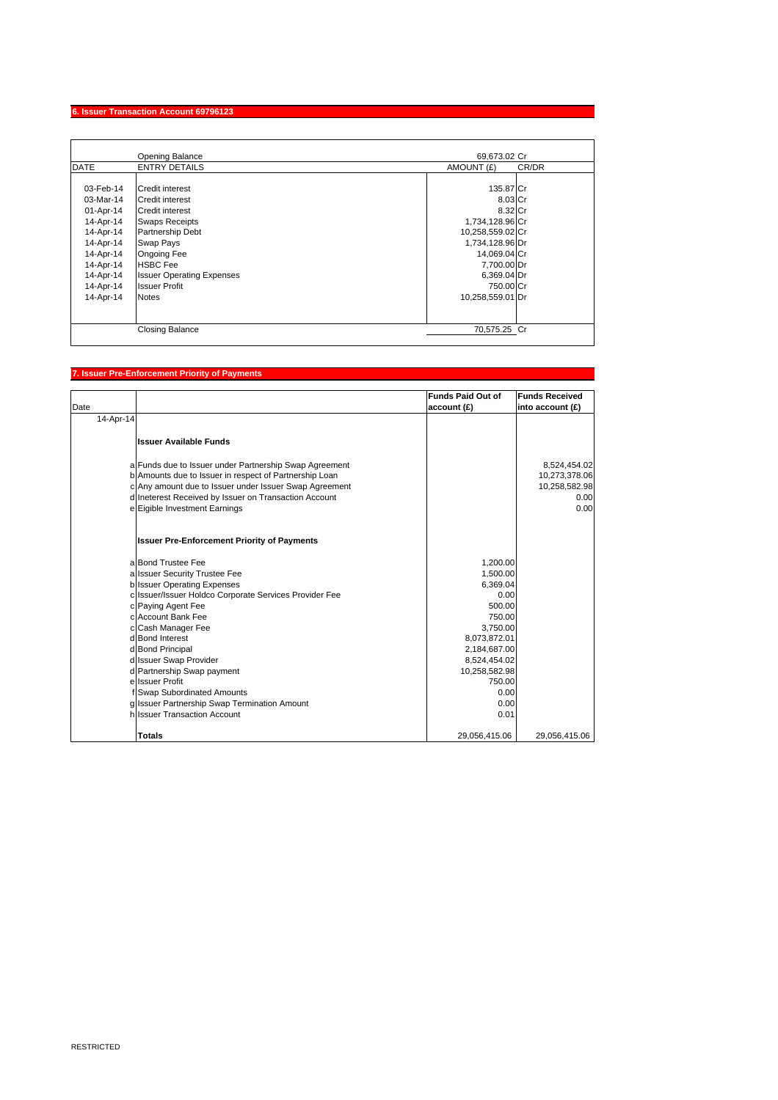#### **6. Issuer Transaction Account 69796123**

|                                                                                                                                             | <b>Opening Balance</b>                                                                                                                                                                                                                             | 69,673.02 Cr                                                                                                                                                             |       |
|---------------------------------------------------------------------------------------------------------------------------------------------|----------------------------------------------------------------------------------------------------------------------------------------------------------------------------------------------------------------------------------------------------|--------------------------------------------------------------------------------------------------------------------------------------------------------------------------|-------|
| <b>DATE</b>                                                                                                                                 | <b>ENTRY DETAILS</b>                                                                                                                                                                                                                               | AMOUNT (£)                                                                                                                                                               | CR/DR |
| 03-Feb-14<br>03-Mar-14<br>01-Apr-14<br>14-Apr-14<br>14-Apr-14<br>14-Apr-14<br>14-Apr-14<br>14-Apr-14<br>14-Apr-14<br>14-Apr-14<br>14-Apr-14 | Credit interest<br>Credit interest<br><b>Credit interest</b><br><b>Swaps Receipts</b><br>Partnership Debt<br><b>Swap Pays</b><br><b>Ongoing Fee</b><br><b>HSBC</b> Fee<br><b>Issuer Operating Expenses</b><br><b>Issuer Profit</b><br><b>Notes</b> | 135.87 Cr<br>8.03 Cr<br>8.32 Cr<br>1,734,128.96 Cr<br>10,258,559.02 Cr<br>1,734,128.96 Dr<br>14,069.04 Cr<br>7,700.00 Dr<br>6,369.04 Dr<br>750.00 Cr<br>10,258,559.01 Dr |       |
|                                                                                                                                             | <b>Closing Balance</b>                                                                                                                                                                                                                             | 70,575.25 Cr                                                                                                                                                             |       |

## **7. Issuer Pre-Enforcement Priority of Payments**

| Date      |                                                        | <b>Funds Paid Out of</b><br>account (£) | <b>Funds Received</b><br>into account (£) |
|-----------|--------------------------------------------------------|-----------------------------------------|-------------------------------------------|
| 14-Apr-14 |                                                        |                                         |                                           |
|           | <b>Issuer Available Funds</b>                          |                                         |                                           |
|           | a Funds due to Issuer under Partnership Swap Agreement |                                         | 8,524,454.02                              |
|           | b Amounts due to Issuer in respect of Partnership Loan |                                         | 10,273,378.06                             |
|           | c Any amount due to Issuer under Issuer Swap Agreement |                                         | 10,258,582.98                             |
|           | d Ineterest Received by Issuer on Transaction Account  |                                         | 0.00                                      |
|           | e Eigible Investment Earnings                          |                                         | 0.00                                      |
|           | <b>Issuer Pre-Enforcement Priority of Payments</b>     |                                         |                                           |
|           | a Bond Trustee Fee                                     | 1,200.00                                |                                           |
|           | a Issuer Security Trustee Fee                          | 1,500.00                                |                                           |
|           | <b>b</b> Issuer Operating Expenses                     | 6.369.04                                |                                           |
|           | c Issuer/Issuer Holdco Corporate Services Provider Fee | 0.00                                    |                                           |
|           | c Paying Agent Fee                                     | 500.00                                  |                                           |
|           | c Account Bank Fee                                     | 750.00                                  |                                           |
|           | c Cash Manager Fee                                     | 3,750.00                                |                                           |
|           | d Bond Interest                                        | 8,073,872.01                            |                                           |
|           | d Bond Principal<br>d Issuer Swap Provider             | 2,184,687.00<br>8,524,454.02            |                                           |
|           | d Partnership Swap payment                             | 10,258,582.98                           |                                           |
|           | e Issuer Profit                                        | 750.00                                  |                                           |
|           | f Swap Subordinated Amounts                            | 0.00                                    |                                           |
|           | g Issuer Partnership Swap Termination Amount           | 0.00                                    |                                           |
|           | hilssuer Transaction Account                           | 0.01                                    |                                           |
|           | Totals                                                 | 29,056,415.06                           | 29,056,415.06                             |